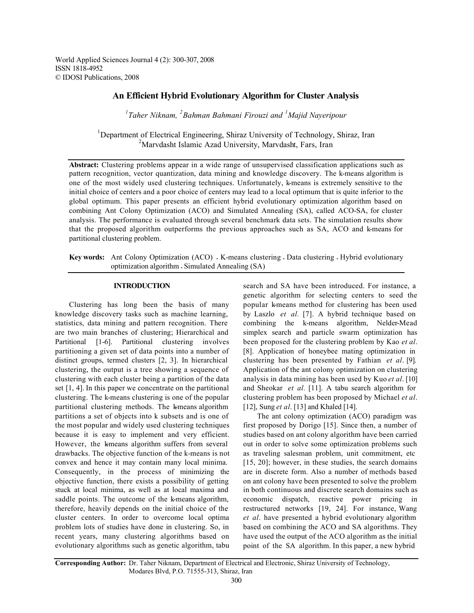World Applied Sciences Journal 4 (2): 300-307, 2008 ISSN 1818-4952 © IDOSI Publications, 2008

# **An Efficient Hybrid Evolutionary Algorithm for Cluster Analysis**

*1 Taher Niknam, <sup>2</sup> Bahman Bahmani Firouzi and <sup>1</sup> Majid Nayeripour*

<sup>1</sup>Department of Electrical Engineering, Shiraz University of Technology, Shiraz, Iran <sup>2</sup>Marvdasht Islamic Azad University, Marvdasht, Fars, Iran

**Abstract:** Clustering problems appear in a wide range of unsupervised classification applications such as pattern recognition, vector quantization, data mining and knowledge discovery. The k-means algorithm is one of the most widely used clustering techniques. Unfortunately, k-means is extremely sensitive to the initial choice of centers and a poor choice of centers may lead to a local optimum that is quite inferior to the global optimum. This paper presents an efficient hybrid evolutionary optimization algorithm based on combining Ant Colony Optimization (ACO) and Simulated Annealing (SA), called ACO-SA, for cluster analysis. The performance is evaluated through several benchmark data sets. The simulation results show that the proposed algorithm outperforms the previous approaches such as SA, ACO and k-means for partitional clustering problem.

**Key words:** Ant Colony Optimization (ACO) • K-means clustering • Data clustering • Hybrid evolutionary optimization algorithm • Simulated Annealing (SA)

## **INTRODUCTION**

Clustering has long been the basis of many knowledge discovery tasks such as machine learning, statistics, data mining and pattern recognition. There are two main branches of clustering; Hierarchical and Partitional [1-6]. Partitional clustering involves partitioning a given set of data points into a number of distinct groups, termed clusters [2, 3]. In hierarchical clustering, the output is a tree showing a sequence of clustering with each cluster being a partition of the data set [1, 4]. In this paper we concentrate on the partitional clustering. The k-means clustering is one of the popular partitional clustering methods. The k-means algorithm partitions a set of objects into k subsets and is one of the most popular and widely used clustering techniques because it is easy to implement and very efficient. However, the kmeans algorithm suffers from several drawbacks. The objective function of the k-means is not convex and hence it may contain many local minima. Consequently, in the process of minimizing the objective function, there exists a possibility of getting stuck at local minima, as well as at local maxima and saddle points. The outcome of the k-means algorithm, therefore, heavily depends on the initial choice of the cluster centers. In order to overcome local optima problem lots of studies have done in clustering. So, in recent years, many clustering algorithms based on evolutionary algorithms such as genetic algorithm, tabu search and SA have been introduced. For instance, a genetic algorithm for selecting centers to seed the popular k-means method for clustering has been used by Laszlo *et al.* [7]. A hybrid technique based on combining the k-means algorithm, Nelder-Mead simplex search and particle swarm optimization has been proposed for the clustering problem by Kao *et al*. [8]. Application of honeybee mating optimization in clustering has been presented by Fathian *et al*. [9]. Application of the ant colony optimization on clustering analysis in data mining has been used by Kuo *et al*. [10] and Sheokar *et al.* [11]. A tabu search algorithm for clustering problem has been proposed by Michael *et al*. [12], Sung *et al*. [13] and Khaled [14].

The ant colony optimization (ACO) paradigm was first proposed by Dorigo [15]. Since then, a number of studies based on ant colony algorithm have been carried out in order to solve some optimization problems such as traveling salesman problem, unit commitment, etc [15, 20]; however, in these studies, the search domains are in discrete form. Also a number of methods based on ant colony have been presented to solve the problem in both continuous and discrete search domains such as economic dispatch, reactive power pricing in restructured networks [19, 24]. For instance, Wang *et al*. have presented a hybrid evolutionary algorithm based on combining the ACO and SA algorithms. They have used the output of the ACO algorithm as the initial point of the SA algorithm. In this paper, a new hybrid

**Corresponding Author:** Dr. Taher Niknam, Department of Electrical and Electronic, Shiraz University of Technology, Modares Blvd, P.O. 71555-313, Shiraz, Iran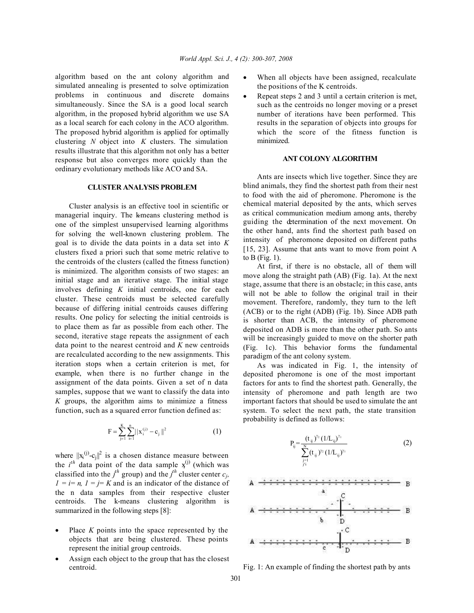algorithm based on the ant colony algorithm and simulated annealing is presented to solve optimization problems in continuous and discrete domains simultaneously. Since the SA is a good local search algorithm, in the proposed hybrid algorithm we use SA as a local search for each colony in the ACO algorithm. The proposed hybrid algorithm is applied for optimally clustering *N* object into *K* clusters. The simulation results illustrate that this algorithm not only has a better response but also converges more quickly than the ordinary evolutionary methods like ACO and SA.

## **CLUSTER ANALYSIS PROBLEM**

Cluster analysis is an effective tool in scientific or managerial inquiry. The k-means clustering method is one of the simplest unsupervised learning algorithms for solving the well-known clustering problem. The goal is to divide the data points in a data set into *K* clusters fixed a priori such that some metric relative to the centroids of the clusters (called the fitness function) is minimized. The algorithm consists of two stages: an initial stage and an iterative stage. The initial stage involves defining *K* initial centroids, one for each cluster. These centroids must be selected carefully because of differing initial centroids causes differing results. One policy for selecting the initial centroids is to place them as far as possible from each other. The second, iterative stage repeats the assignment of each data point to the nearest centroid and *K* new centroids are recalculated according to the new assignments. This iteration stops when a certain criterion is met, for example, when there is no further change in the assignment of the data points. Given a set of n data samples, suppose that we want to classify the data into *K* groups, the algorithm aims to minimize a fitness function, such as a squared error function defined as:

$$
F = \sum_{j=1}^{K} \sum_{i=1}^{n} ||x_{i}^{(j)} - c_{j}||^{2}
$$
 (1)

where  $||x_i^{(j)}-c_j||^2$  is a chosen distance measure between the  $i^{th}$  data point of the data sample  $x^{(j)}$  (which was classified into the  $j^h$  group) and the  $j^h$  cluster center  $c_j$ ,  $I = i = n$ ,  $I = j = K$  and is an indicator of the distance of the n data samples from their respective cluster centroids. The k-means clustering algorithm is summarized in the following steps [8]:

- Place  $K$  points into the space represented by the objects that are being clustered. These points represent the initial group centroids.
- Assign each object to the group that has the closest centroid.
- When all objects have been assigned, recalculate the positions of the K centroids.
- Repeat steps 2 and 3 until a certain criterion is met. such as the centroids no longer moving or a preset number of iterations have been performed. This results in the separation of objects into groups for which the score of the fitness function is minimized.

## **ANT COLONY ALGORITHM**

Ants are insects which live together. Since they are blind animals, they find the shortest path from their nest to food with the aid of pheromone. Pheromone is the chemical material deposited by the ants, which serves as critical communication medium among ants, thereby guiding the determination of the next movement. On the other hand, ants find the shortest path based on intensity of pheromone deposited on different paths [15, 23]. Assume that ants want to move from point A to  $B$  (Fig. 1).

At first, if there is no obstacle, all of them will move along the straight path (AB) (Fig. 1a). At the next stage, assume that there is an obstacle; in this case, ants will not be able to follow the original trail in their movement. Therefore, randomly, they turn to the left (ACB) or to the right (ADB) (Fig. 1b). Since ADB path is shorter than ACB, the intensity of pheromone deposited on ADB is more than the other path. So ants will be increasingly guided to move on the shorter path (Fig. 1c). This behavior forms the fundamental paradigm of the ant colony system.

As was indicated in Fig. 1, the intensity of deposited pheromone is one of the most important factors for ants to find the shortest path. Generally, the intensity of pheromone and path length are two important factors that should be used to simulate the ant system. To select the next path, the state transition probability is defined as follows:

$$
P_{ij} = \frac{(t_{ij})^{\gamma_2} (1/L_{ij})^{\gamma_1}}{\sum_{\substack{j=1 \ j>i}}^{N} (t_{ij})^{\gamma_2} (1/L_{ij})^{\gamma_1}}
$$
(2)



Fig. 1: An example of finding the shortest path by ants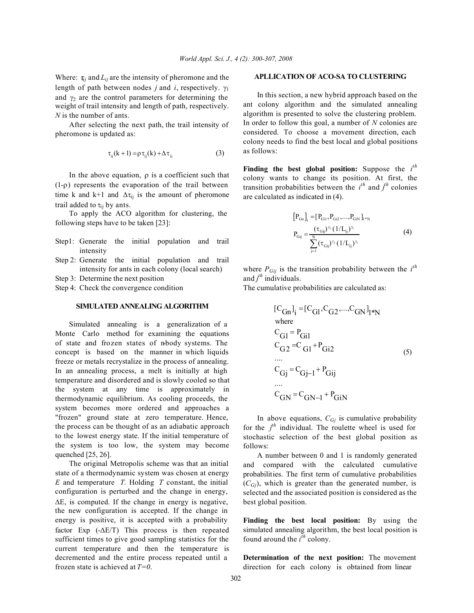Where:  $\tau_{ij}$  and  $L_{ij}$  are the intensity of pheromone and the length of path between nodes *j* and *i*, respectively. γ<sup>1</sup> and  $\gamma_2$  are the control parameters for determining the weight of trail intensity and length of path, respectively. *N* is the number of ants.

After selecting the next path, the trail intensity of pheromone is updated as:

$$
\tau_{ij}(k+1) = \rho \tau_{ij}(k) + \Delta \tau_{ij}
$$
 (3)

In the above equation,  $\rho$  is a coefficient such that (1-ρ) represents the evaporation of the trail between time k and k+1 and  $\Delta \tau_{ij}$  is the amount of pheromone trail added to  $\tau_{ii}$  by ants.

To apply the ACO algorithm for clustering, the following steps have to be taken [23]:

- Step1: Generate the initial population and trail intensity
- Step 2: Generate the initial population and trail intensity for ants in each colony (local search)

Step 3: Determine the next position

Step 4: Check the convergence condition

## **SIMULATED ANNEALING ALGORITHM**

Simulated annealing is a generalization of a Monte Carlo method for examining the equations of state and frozen states of n-body systems. The concept is based on the manner in which liquids freeze or metals recrystalize in the process of annealing. In an annealing process, a melt is initially at high temperature and disordered and is slowly cooled so that the system at any time is approximately in thermodynamic equilibrium. As cooling proceeds, the system becomes more ordered and approaches a "frozen" ground state at zero temperature. Hence, the process can be thought of as an adiabatic approach to the lowest energy state. If the initial temperature of the system is too low, the system may become quenched [25, 26].

The original Metropolis scheme was that an initial state of a thermodynamic system was chosen at energy *E* and temperature *T*. Holding *T* constant, the initial configuration is perturbed and the change in energy, ∆E, is computed. If the change in energy is negative, the new configuration is accepted. If the change in energy is positive, it is accepted with a probability factor Exp (-∆E/T) This process is then repeated sufficient times to give good sampling statistics for the current temperature and then the temperature is decremented and the entire process repeated until a frozen state is achieved at *T=0*.

## **APLLICATION OF ACO-SA TO CLUSTERING**

In this section, a new hybrid approach based on the ant colony algorithm and the simulated annealing algorithm is presented to solve the clustering problem. In order to follow this goal, a number of *N* colonies are considered. To choose a movement direction, each colony needs to find the best local and global positions as follows:

**Finding the best global position:** Suppose the *i th* colony wants to change its position. At first, the transition probabilities between the  $i^{th}$  and  $j^{th}$  colonies are calculated as indicated in (4).

$$
[P_{Gn}]_i = [P_{Gi1}, P_{Gi2}, ..., P_{GiN}]_{1*N}
$$
  
\n
$$
P_{Gij} = \frac{(\tau_{Gij})^{\gamma_2} (1/L_{ij})^{\gamma_1}}{\sum_{j=1}^{N} (\tau_{Gij})^{\gamma_2} (1/L_{ij})^{\gamma_1}}
$$
\n(4)

where  $P_{Gij}$  is the transition probability between the  $i^{th}$ and *j th* individuals.

The cumulative probabilities are calculated as:

$$
[C_{\text{Gn}}]_i = [C_{\text{G1}}, C_{\text{G2}}, \dots, C_{\text{GN}}]_{1*\text{N}}
$$
  
where  

$$
C_{\text{G1}} = P_{\text{Gi1}}
$$
  

$$
C_{\text{G2}} = C_{\text{G1}} + P_{\text{Gi2}}
$$
  
...  

$$
C_{\text{Gj}} = C_{\text{Gj-1}} + P_{\text{Gij}}
$$
  
...  

$$
C_{\text{GN}} = C_{\text{GN-1}} + P_{\text{GiN}}
$$

In above equations,  $C_{Gj}$  is cumulative probability for the  $j^{th}$  individual. The roulette wheel is used for stochastic selection of the best global position as follows:

A number between 0 and 1 is randomly generated and compared with the calculated cumulative probabilities. The first term of cumulative probabilities  $(C_{Gi})$ , which is greater than the generated number, is selected and the associated position is considered as the best global position.

**Finding the best local position:** By using the simulated annealing algorithm, the best local position is found around the  $i^{th}$  colony.

**Determination of the next position:** The movement direction for each colony is obtained from linear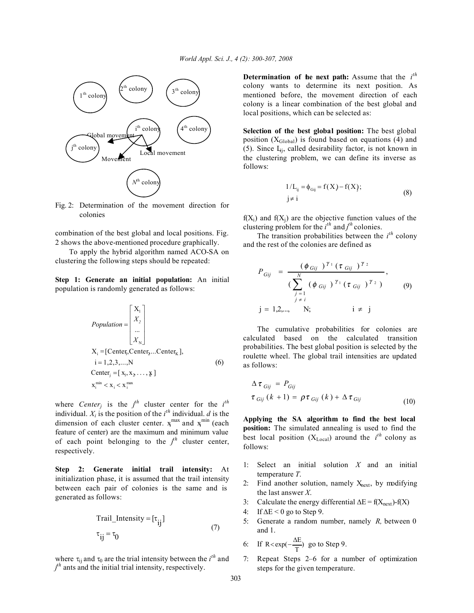

Fig. 2: Determination of the movement direction for colonies

combination of the best global and local positions. Fig. 2 shows the above-mentioned procedure graphically.

To apply the hybrid algorithm named ACO-SA on clustering the following steps should be repeated:

**Step 1: Generate an initial population:** An initial population is randomly generated as follows:

$$
Population = \begin{bmatrix} X_1 \\ X_2 \\ \dots \\ X_N \end{bmatrix}
$$
  
\n
$$
X_i = [Center_i, Center_2...Center_k],
$$
  
\n
$$
i = 1, 2, 3, ..., N
$$
  
\nCenter<sub>j</sub> = [x<sub>1</sub>, x<sub>2</sub> ..., x]  
\n
$$
x_i^{min} < x_i < x_i^{max}
$$
 (6)

where *Center<sub>j</sub>* is the  $j^{th}$  cluster center for the  $i^{th}$ individual.  $X_i$  is the position of the  $i^{th}$  individual. *d* is the dimension of each cluster center.  $x_i^{max}$  and  $x_i^{min}$  (each feature of center) are the maximum and minimum value of each point belonging to the  $j^{\text{th}}$  cluster center, respectively.

**Step 2: Generate initial trail intensity:** At initialization phase, it is assumed that the trail intensity between each pair of colonies is the same and is generated as follows:

$$
Tail_Intensity = [\tau_{ij}]
$$
  
\n
$$
\tau_{ij} = \tau_0
$$
\n(7)

where  $\tau_{ij}$  and  $\tau_0$  are the trial intensity between the *i*<sup>th</sup> and *j th* ants and the initial trial intensity, respectively.

**Determination of the next path:** Assume that the *i th* colony wants to determine its next position. As mentioned before, the movement direction of each colony is a linear combination of the best global and local positions, which can be selected as:

**Selection of the best global position:** The best global position  $(X_{Global})$  is found based on equations (4) and (5). Since  $L_{ij}$ , called desirability factor, is not known in the clustering problem, we can define its inverse as follows:

$$
1/L_{ij} = \phi_{Gij} = f(X) - f(X);
$$
  
\n
$$
j \neq i
$$
 (8)

 $f(X_i)$  and  $f(X_i)$  are the objective function values of the clustering problem for the  $i^{th}$  and  $j^{th}$  colonies.

The transition probabilities between the  $i<sup>th</sup>$  colony and the rest of the colonies are defined as

$$
P_{Gij} = \frac{(\phi_{Gij})^{\gamma_1} (\tau_{Gij})^{\gamma_2}}{(\sum_{\substack{j=1 \ j \neq i}}^N (\phi_{Gij})^{\gamma_1} (\tau_{Gij})^{\gamma_2})},
$$
\n
$$
j = 1, 2, ..., N; \qquad i \neq j
$$
\n(9)

The cumulative probabilities for colonies are calculated based on the calculated transition probabilities. The best global position is selected by the roulette wheel. The global trail intensities are updated as follows:

$$
\Delta \tau_{Gij} = P_{Gij}
$$
  
\n
$$
\tau_{Gij} (k+1) = \rho \tau_{Gij} (k) + \Delta \tau_{Gij}
$$
 (10)

**Applying the SA algorithm to find the best local position:** The simulated annealing is used to find the best local position  $(X_{Local})$  around the *i*<sup>th</sup> colony as follows:

- 1: Select an initial solution *X* and an initial temperature *T*.
- 2: Find another solution, namely  $X<sub>next</sub>$ , by modifying the last answer *X*.
- 3: Calculate the energy differential  $\Delta E = f(X_{\text{next}}) f(X)$
- 4: If  $\Delta E \le 0$  go to Step 9.
- 5: Generate a random number, namely *R,* between 0 and 1.

6: If 
$$
R < exp(-\frac{\Delta E}{T})
$$
 go to Step 9.

7: Repeat Steps 2–6 for a number of optimization steps for the given temperature.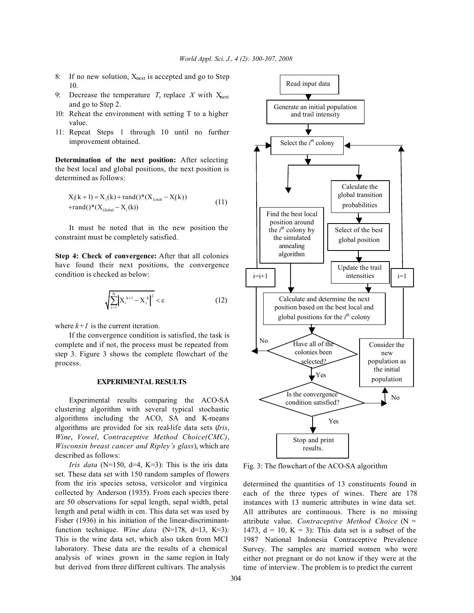- 8: If no new solution,  $X<sub>next</sub>$  is accepted and go to Step 10.
- 9: Decrease the temperature *T*, replace *X* with  $X_{next}$ and go to Step 2.
- 10: Reheat the environment with setting T to a higher value.
- 11: Repeat Steps 1 through 10 until no further improvement obtained.

**Determination of the next position:** After selecting the best local and global positions, the next position is determined as follows:

$$
X_{i}(k+1) = X_{i}(k) + rand() * (X_{Local} - X_{i}(k))
$$
  
+
$$
rand() * (X_{Global} - X_{i}(k))
$$
 (11)

It must be noted that in the new position the constraint must be completely satisfied.

**Step 4: Check of convergence:** After that all colonies have found their next positions, the convergence condition is checked as below:

$$
\left| \sum_{i=1}^{N} \left| X_i^{k+1} - X_i^k \right|^2 < \varepsilon \right| \tag{12}
$$

where  $k+1$  is the current iteration.

If the convergence condition is satisfied, the task is complete and if not, the process must be repeated from step 3. Figure 3 shows the complete flowchart of the process.

## **EXPERIMENTAL RESULTS**

Experimental results comparing the ACO-SA clustering algorithm with several typical stochastic algorithms including the ACO, SA and K-means algorithms are provided for six real-life data sets (*Iris*, *Wine*, *Vowel*, *Contraceptive Method Choice(CMC)*, *Wisconsin breast cancer and Ripley's glass*), which are described as follows:

*Iris data* ( $N=150$ ,  $d=4$ ,  $K=3$ ): This is the iris data set. These data set with 150 random samples of flowers from the iris species setosa, versicolor and virginica collected by Anderson (1935). From each species there are 50 observations for sepal length, sepal width, petal length and petal width in cm. This data set was used by Fisher (1936) in his initiation of the linear-discriminantfunction technique. *Wine data* (N=178, d=13, K=3): This is the wine data set, which also taken from MCI laboratory. These data are the results of a chemical analysis of wines grown in the same region in Italy but derived from three different cultivars. The analysis



Fig. 3: The flowchart of the ACO-SA algorithm

determined the quantities of 13 constituents found in each of the three types of wines. There are 178 instances with 13 numeric attributes in wine data set. All attributes are continuous. There is no missing attribute value. *Contraceptive Method Choice* (N = 1473,  $d = 10$ ,  $K = 3$ ): This data set is a subset of the 1987 National Indonesia Contraceptive Prevalence Survey. The samples are married women who were either not pregnant or do not know if they were at the time of interview. The problem is to predict the current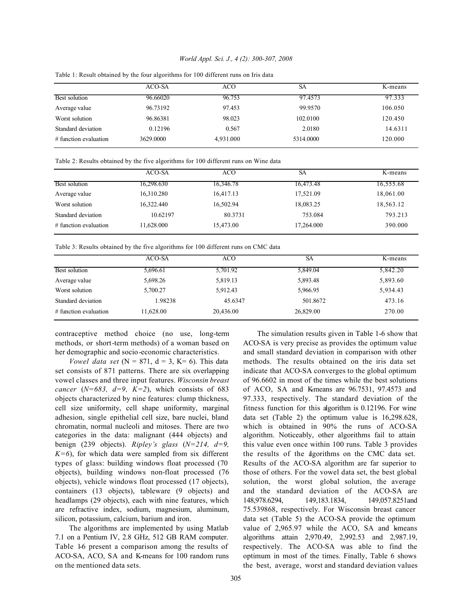#### *World Appl. Sci. J., 4 (2): 300-307, 2008*

|                         | ACO-SA    | ACO       | SA        | K-means |
|-------------------------|-----------|-----------|-----------|---------|
| Best solution           | 96.66020  | 96.753    | 97.4573   | 97.333  |
| Average value           | 96.73192  | 97.453    | 99.9570   | 106.050 |
| Worst solution          | 96.86381  | 98.023    | 102.0100  | 120.450 |
| Standard deviation      | 0.12196   | 0.567     | 2.0180    | 14.6311 |
| $#$ function evaluation | 3629.0000 | 4,931.000 | 5314.0000 | 120.000 |

Table 1: Result obtained by the four algorithms for 100 different runs on Iris data

Table 2: Results obtained by the five algorithms for 100 different runs on Wine data

|                         | ACO-SA     | ACO       | SА         | K-means   |
|-------------------------|------------|-----------|------------|-----------|
| <b>Best solution</b>    | 16,298.630 | 16,346.78 | 16,473.48  | 16,555.68 |
| Average value           | 16,310.280 | 16,417.13 | 17,521.09  | 18,061.00 |
| Worst solution          | 16,322.440 | 16,502.94 | 18,083.25  | 18,563.12 |
| Standard deviation      | 10.62197   | 80.3731   | 753.084    | 793.213   |
| $#$ function evaluation | 11.628.000 | 15,473.00 | 17,264.000 | 390.000   |

Table 3: Results obtained by the five algorithms for 100 different runs on CMC data

|                         | ACO-SA    | ACO       | SА        | K-means  |  |
|-------------------------|-----------|-----------|-----------|----------|--|
| Best solution           | 5,696.61  | 5,701.92  | 5,849.04  | 5,842.20 |  |
| Average value           | 5,698.26  | 5,819.13  | 5,893.48  | 5,893.60 |  |
| Worst solution          | 5,700.27  | 5,912.43  | 5,966.95  | 5,934.43 |  |
| Standard deviation      | 1.98238   | 45.6347   | 501.8672  | 473.16   |  |
| $#$ function evaluation | 11,628.00 | 20,436.00 | 26,829.00 | 270.00   |  |
|                         |           |           |           |          |  |

contraceptive method choice (no use, long-term methods, or short-term methods) of a woman based on her demographic and socio-economic characteristics.

*Vowel data set*  $(N = 871, d = 3, K = 6)$ . This data set consists of 871 patterns. There are six overlapping vowel classes and three input features. *Wisconsin breast cancer* ( $N=683$ ,  $d=9$ ,  $K=2$ ), which consists of 683 objects characterized by nine features: clump thickness, cell size uniformity, cell shape uniformity, marginal adhesion, single epithelial cell size, bare nuclei, bland chromatin, normal nucleoli and mitoses. There are two categories in the data: malignant (444 objects) and benign (239 objects). *Ripley's glass* (*N=214, d=9,*  $K=6$ ), for which data were sampled from six different types of glass: building windows float processed (70 objects), building windows non-float processed (76 objects), vehicle windows float processed (17 objects), containers (13 objects), tableware (9 objects) and headlamps (29 objects), each with nine features, which are refractive index, sodium, magnesium, aluminum, silicon, potassium, calcium, barium and iron.

The algorithms are implemented by using Matlab 7.1 on a Pentium IV, 2.8 GHz, 512 GB RAM computer. Table 1-6 present a comparison among the results of ACO-SA, ACO, SA and K-means for 100 random runs on the mentioned data sets.

The simulation results given in Table 1-6 show that ACO-SA is very precise as provides the optimum value and small standard deviation in comparison with other methods. The results obtained on the iris data set indicate that ACO-SA converges to the global optimum of 96.6602 in most of the times while the best solutions of ACO, SA and K-means are 96.7531, 97.4573 and 97.333, respectively. The standard deviation of the fitness function for this algorithm is 0.12196. For wine data set (Table 2) the optimum value is 16,298.628, which is obtained in 90% the runs of ACO-SA algorithm. Noticeably, other algorithms fail to attain this value even once within 100 runs. Table 3 provides the results of the algorithms on the CMC data set. Results of the ACO-SA algorithm are far superior to those of others. For the vowel data set, the best global solution, the worst global solution, the average and the standard deviation of the ACO-SA are 148,978.6294, 149,183.1834, 149,057.8251and 75.539868, respectively. For Wisconsin breast cancer data set (Table 5) the ACO-SA provide the optimum value of  $2,965.97$  while the ACO, SA and kmeans algorithms attain 2,970.49, 2,992.53 and 2,987.19, respectively. The ACO-SA was able to find the optimum in most of the times. Finally, Table 6 shows the best, average, worst and standard deviation values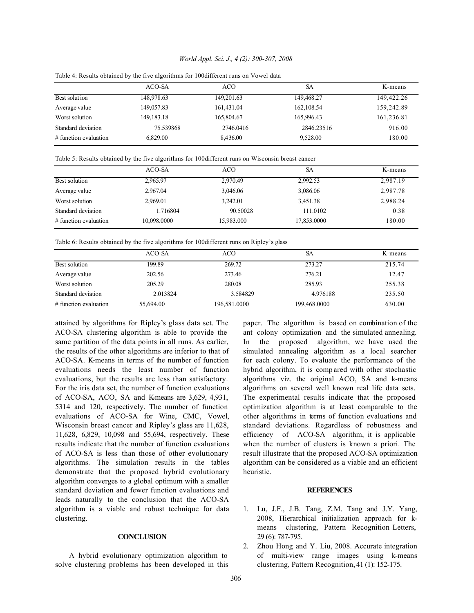#### *World Appl. Sci. J., 4 (2): 300-307, 2008*

| ACO-SA<br>ACO<br>SА<br>K-means<br>149,422.26<br>Best solut ion<br>149,201.63<br>149,468.27<br>148,978.63<br>159,242.89<br>161,431.04<br>149,057.83<br>162, 108.54<br>Average value |                |
|------------------------------------------------------------------------------------------------------------------------------------------------------------------------------------|----------------|
|                                                                                                                                                                                    |                |
|                                                                                                                                                                                    |                |
|                                                                                                                                                                                    |                |
| 165,996.43<br>161,236.81<br>149, 183. 18<br>165,804.67                                                                                                                             | Worst solution |
| 916.00<br>Standard deviation<br>75.539868<br>2846.23516<br>2746.0416                                                                                                               |                |
| 8,436.00<br>9,528.00<br>180.00<br>6.829.00<br>$#$ function evaluation                                                                                                              |                |

Table 4: Results obtained by the five algorithms for 100different runs on Vowel data

Table 5: Results obtained by the five algorithms for 100different runs on Wisconsin breast cancer

|                         | ACO-SA      | ACO        | SА          | K-means  |
|-------------------------|-------------|------------|-------------|----------|
| Best solution           | 2,965.97    | 2,970.49   | 2,992.53    | 2,987.19 |
| Average value           | 2,967.04    | 3,046.06   | 3,086.06    | 2,987.78 |
| Worst solution          | 2.969.01    | 3,242.01   | 3,451.38    | 2,988.24 |
| Standard deviation      | 1.716804    | 90.50028   | 111.0102    | 0.38     |
| $#$ function evaluation | 10,098.0000 | 15,983.000 | 17,853.0000 | 180.00   |

Table 6: Results obtained by the five algorithms for 100different runs on Ripley's glass

|                         | ACO-SA    | ACO          | SА           | K-means |
|-------------------------|-----------|--------------|--------------|---------|
| Best solution           | 199.89    | 269.72       | 273.27       | 215.74  |
| Average value           | 202.56    | 273.46       | 276.21       | 12.47   |
| Worst solution          | 205.29    | 280.08       | 285.93       | 255.38  |
| Standard deviation      | 2.013824  | 3.584829     | 4.976188     | 235.50  |
| $#$ function evaluation | 55,694.00 | 196,581.0000 | 199,468.0000 | 630.00  |

attained by algorithms for Ripley's glass data set. The ACO-SA clustering algorithm is able to provide the same partition of the data points in all runs. As earlier, the results of the other algorithms are inferior to that of ACO-SA. K-means in terms of the number of function evaluations needs the least number of function evaluations, but the results are less than satisfactory. For the iris data set, the number of function evaluations of ACO-SA, ACO, SA and K-means are 3,629, 4,931, 5314 and 120, respectively. The number of function evaluations of ACO-SA for Wine, CMC, Vowel, Wisconsin breast cancer and Ripley's glass are 11,628, 11,628, 6,829, 10,098 and 55,694, respectively. These results indicate that the number of function evaluations of ACO-SA is less than those of other evolutionary algorithms. The simulation results in the tables demonstrate that the proposed hybrid evolutionary algorithm converges to a global optimum with a smaller standard deviation and fewer function evaluations and leads naturally to the conclusion that the ACO-SA algorithm is a viable and robust technique for data clustering.

## **CONCLUSION**

A hybrid evolutionary optimization algorithm to solve clustering problems has been developed in this paper. The algorithm is based on combination of the ant colony optimization and the simulated annealing. In the proposed algorithm, we have used the simulated annealing algorithm as a local searcher for each colony. To evaluate the performance of the hybrid algorithm, it is comp ared with other stochastic algorithms viz. the original ACO, SA and k-means algorithms on several well known real life data sets. The experimental results indicate that the proposed optimization algorithm is at least comparable to the other algorithms in terms of function evaluations and standard deviations. Regardless of robustness and efficiency of ACO-SA algorithm, it is applicable when the number of clusters is known a priori. The result illustrate that the proposed ACO-SA optimization algorithm can be considered as a viable and an efficient heuristic.

#### **REFERENCES**

- 1. Lu, J.F., J.B. Tang, Z.M. Tang and J.Y. Yang, 2008, Hierarchical initialization approach for kmeans clustering, Pattern Recognition Letters, 29 (6): 787-795.
- 2. Zhou Hong and Y. Liu, 2008. Accurate integration of multi-view range images using k-means clustering, Pattern Recognition, 41 (1): 152-175.